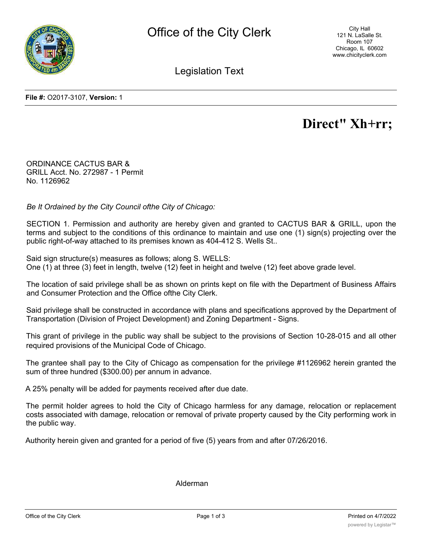

City Hall 121 N. LaSalle St. Room 107 Chicago, IL 60602 www.chicityclerk.com

Legislation Text

**File #:** O2017-3107, **Version:** 1

# **Direct" Xh+rr;**

ORDINANCE CACTUS BAR & GRILL Acct. No. 272987 - 1 Permit No. 1126962

*Be It Ordained by the City Council ofthe City of Chicago:*

SECTION 1. Permission and authority are hereby given and granted to CACTUS BAR & GRILL, upon the terms and subject to the conditions of this ordinance to maintain and use one (1) sign(s) projecting over the public right-of-way attached to its premises known as 404-412 S. Wells St..

Said sign structure(s) measures as follows; along S. WELLS: One (1) at three (3) feet in length, twelve (12) feet in height and twelve (12) feet above grade level.

The location of said privilege shall be as shown on prints kept on file with the Department of Business Affairs and Consumer Protection and the Office ofthe City Clerk.

Said privilege shall be constructed in accordance with plans and specifications approved by the Department of Transportation (Division of Project Development) and Zoning Department - Signs.

This grant of privilege in the public way shall be subject to the provisions of Section 10-28-015 and all other required provisions of the Municipal Code of Chicago.

The grantee shall pay to the City of Chicago as compensation for the privilege #1126962 herein granted the sum of three hundred (\$300.00) per annum in advance.

A 25% penalty will be added for payments received after due date.

The permit holder agrees to hold the City of Chicago harmless for any damage, relocation or replacement costs associated with damage, relocation or removal of private property caused by the City performing work in the public way.

Authority herein given and granted for a period of five (5) years from and after 07/26/2016.

Alderman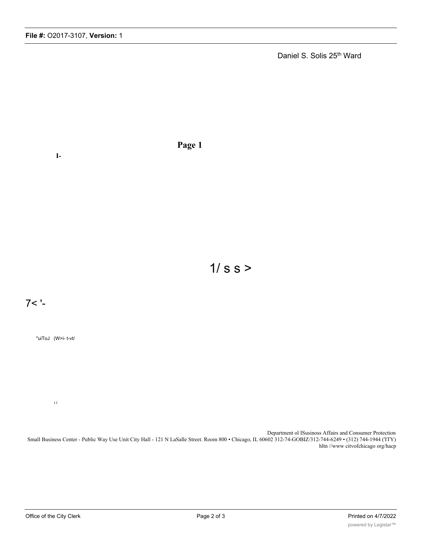Daniel S. Solis 25<sup>th</sup> Ward

**I-**

**Page 1**

 $1/s s$ 

7< '-

"uiToJ (W>i- t-vt/

i i

Department ol ISusinoss Affairs and Consumer Protection Small Business Center - Public Way Use Unit City Hall - 121 N LaSalle Street. Room 800 • Chicago, IL 60602 312-74-GOBIZ/312-744-6249 • (312) 744-1944 ('ITY) hltn //www citvofchicago org/hacp